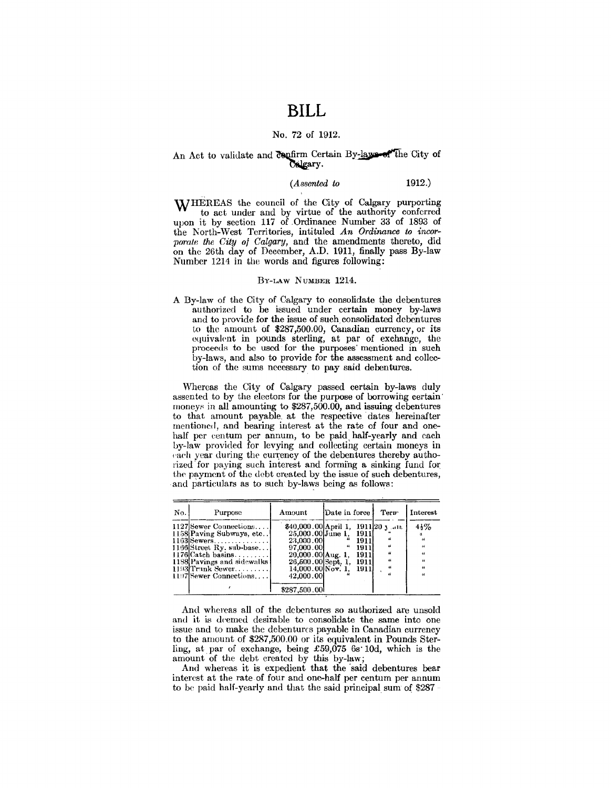# **BILL**

### No. 72 of 1912.

### An Act to validate and *confirm Certain By-laws* of the City of belgary.

### *(Assented to* 1912.)

WHEREAS the council of the City of Calgary purporting to act under and by virtue of the authority conferred upon it by section 117 of .Ordinance Number 33 of 1893 of the Korth-West Territories, intituled *An Ordinance to incorporate the* City *of* Calgary, and the amendments thereto, did on the 26th day of December, A.D. 1911, finally pass By-law Number 1214 in the words and figures following:

#### BY-LAW NuMBER 1214.

A By-law of the City of Calgary to consolidate the debentures authorized to be issued under certain money by-laws and to provide for the issue of such. consolidated debentures to the amount of \$287,500.00, Canadian currency, or its equivalent in pounds sterling, at par of exchange, the proceeds to be used for the purposes' mentioned in such by-laws, and also to provide for the assessment and collection of the sums necessary to pay said debentures.

Whereas the City of Calgary passed certain by-laws duly assented to by the electors for the purpose of borrowing certain· moneys in all amounting to \$287,500.00, and issuing debentures to that amount payable at the respective dates hereinafter mentioned, and bearing interest at the rate of four and onehalf per centum per annum, to be paid half-yearly and each by-law provided for levying and collecting certain moneys in each year during the currency of the debentures thereby authorized for paying such interest and forming a sinking fund for the payment of the debt created by the issue of such debentures, and particulars as to such by-laws being as follows:

| No. | Purpose                                                                                                                                                                                           | Amount                                                                                                                                                             | Date in force |                                                             | Tern                                                    | Interest                                                                |
|-----|---------------------------------------------------------------------------------------------------------------------------------------------------------------------------------------------------|--------------------------------------------------------------------------------------------------------------------------------------------------------------------|---------------|-------------------------------------------------------------|---------------------------------------------------------|-------------------------------------------------------------------------|
|     | 1127 Sewer Connections<br>1158 Paving Subways, etc<br>$1163$ Sewers<br>1166 Street Ry. sub-base<br>$1176$ Catch basins<br>1188 Pavings and sidewalks<br>1193Trunk Sewer<br>1197 Sewer Connections | \$40,000.00 April 1, 1911 20 1 at<br>25,000.00 June 1, 1911<br>23,000.00<br>97,000.00<br>20,000.00 Aug. 1,<br>26,500.00 Sept. 1,<br>14,000.00 Nov. 1.<br>42,000.00 |               | 1911<br>1911<br><b>1911</b><br>- <b>1911</b><br><b>1911</b> | $\boldsymbol{\mu}$<br>$\epsilon$<br>$\epsilon$<br>$\mu$ | $4\frac{1}{2}\%$<br>$\epsilon$<br>$\epsilon$<br>44<br>44<br>46<br>$\mu$ |
|     |                                                                                                                                                                                                   | \$287,500.00                                                                                                                                                       |               |                                                             |                                                         |                                                                         |

And whereas all of the debentures so authorized are unsold and it is deemed desirable to consolidate the same into one issue and to make the debentures payable in Canadian currency to the amount of \$287,500.00 or its equivalent in Pounds Sterling, at par of exchange, being £59,075 6s· 10d, which is the amount of the debt created by this by-law;

And whereas it is expedient that the said debentures bear interest at the rate of four and one-half per centum per annum to be paid half-yearly and that the said principal sum of \$287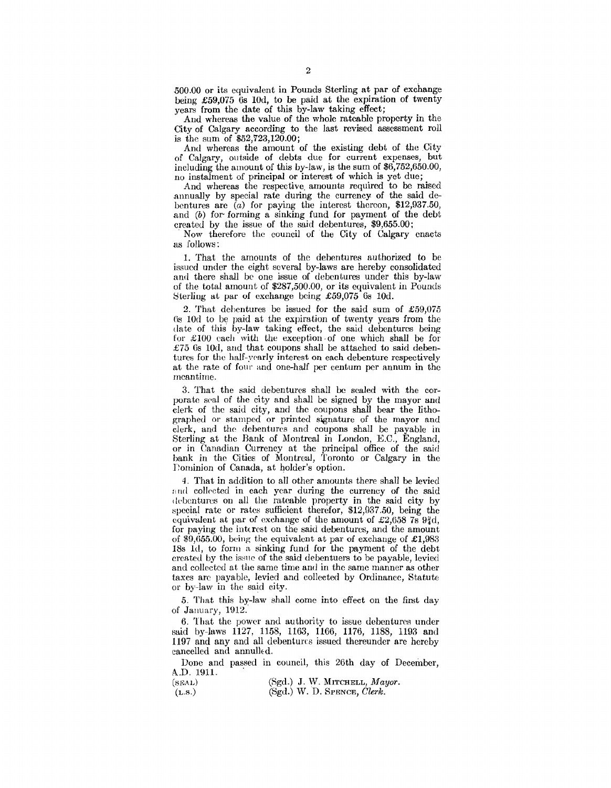*500.00* or its equivalent in Pounds Sterling at par of exchange being  $£59.075$  6s 10d, to be paid at the expiration of twenty years from the date of this by-law taking effect;

And whereas the value of the whole rateable property in the City of Calgary according to the last revised assessment roll is the sum of  $$52,723,120.00$ ;

And whereas the amount of the existing debt of the City of Calgary, outside of debts due for current expenses, but including the amount of this by-law, is the sum of \$6,752,650.00, no instalment of principal or interest of which is yet due;

And whereas the respective. amounts required to be raised annually by special rate during the currency of the said debentures are (a) for paying the interest thereon, \$12,937.50, and (b) for· forming a sinking fund for payment of the debt created by the issue of the said debentures, \$9,655.00;

· Now therefore the council of the City of Calgary enacts as follows:

1. That the amounts of the debentures authorized to be issued under the eight several by-laws are hereby consolidated and there shall be one issue of debentures under this by-law of the total amount of  $$287,500.00$ , or its equivalent in Pounds 8terling at par of exchange being £59,075 6s lOd.

2. That debentures be issued for the said sum of  $£59,075$ Os lOd to be paid at the expiration of twenty years from the date of this by-law taking effect, the said debentures being for  $£100$  each with the exception of one which shall be for £75  $6s$  10d, and that coupons shall be attached to said debentures for the half-yearly interest on each debenture respectively at the rate of four and one-half per centum per annum in the meantime.

3. That the said debentures shall be scaled with the corporate scal of the city and shall be signed by the mayor and clerk of the said city, and the coupons shall bear the lithographed or stamped or printed signature of the mayor and clerk, and the debentures and coupons shall be payable in Sterling at the Bank of Montreal in London, E.C., England, or in Canadian Currency at the principal office of the said bank in the Cities of Montreal, Toronto or Calgary in the Dominion of Canada, at holder's option.

4. That in addition to all other amounts there shall be levied and collected in each year during the currency of the said 1 lcbcntures on all the rateable property in the said city by special rate or rates sufficient therefor, \$12,937.50, being the equivalent at par of exchange of the amount of £2,658 7s  $9\frac{3}{4}d$ , for paying the interest on the said debentures, and the amount of  $\$9,655.00$ , being the equivalent at par of exchange of £1,983 18s ld, to form a sinking fund for the payment of the debt created by the issue of the said debentuers to be payable, levied and collected at the same time and in the same manner as other taxes arc payable, levied and collected by Ordinance, Statute or by-law in the said city.

5. That this by-law shall come into effect on the first day of January, 1912.

6. That the power and authority to issue debentures under said by-laws 1127, 1158, 1163, 1166, 1176, 1188, 1193 aml 1197 and any and all debentures issued thereunder are hereby cancelled and annulled.

Done and passed in council, this 26th day of December, A.D. 1911.

 $(SEAL)$ (L.s.) (Sgd.) J. W. MITCHELL, *Mayor.*  (Sgd.) W. D. SPENCE, *Clerk.*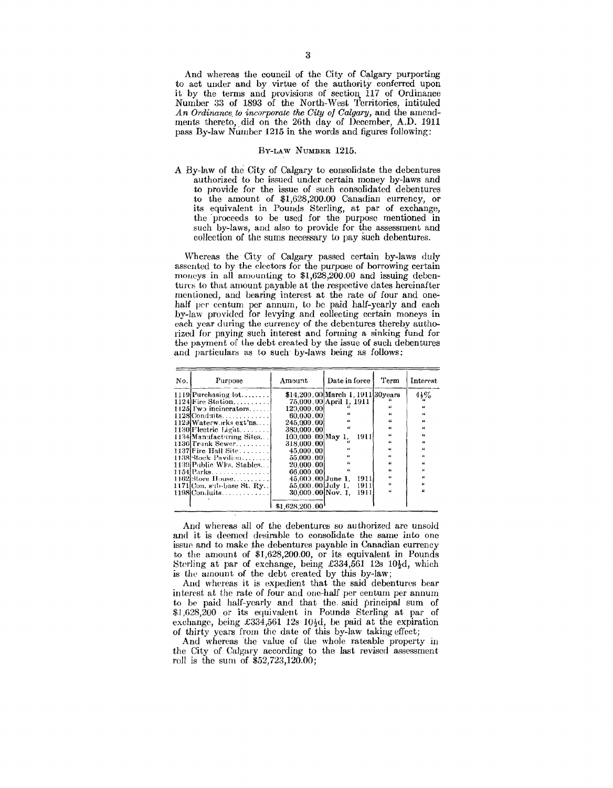And whereas the council of the City of Calgary purporting to act under and by virtue of the authority conferred upon it by the terms and provisions of section 117 of Ordinance Number :)3 of 1893 of the North-West Territories, intituled *An Ordinance. to incorporate the City of Calgary,* and the amendments thereto, did on the 26th day of December, A.D. 1911 pass By-law Number 1215 in the words and figures following:

### BY-LAW NuMBER 1215.

A By-law of the City of Calgary to consolidate the debentures authorized to be issued under certain money by-laws and to provide for the issue of such consolidated debentures to the amount of  $$1,628,200.00$  Canadian currency, or its equivalent in Pounds Sterling, at par of exchange, the proceeds to be used for the purpose mentioned in such by-laws, and also to provide for the assessment and collection of the sums necessary to pay such debentures.

Whereas the City of Calgary passed certain by-laws duly assented to by the electors for the purpose of borrowing certain moneys in all amounting to \$1,628,200.00 and issuing debentures to that amount payable at the respective dates hereinafter mentioned, and bearing interest at the rate of four and onehalf per centum per annum, to be paid half-yearly and each by-law provided for levying and collecting certain moneys in each year during the currency of the debentures thereby authorizcd for paying such interest and forming a sinking fund for the payment of the debt created by the issue of such debentures and particulars as to such by-laws being as follows:

| No. | Purpose                       | Amount            | Date in force                      | Term                    | <b>Interest</b>  |
|-----|-------------------------------|-------------------|------------------------------------|-------------------------|------------------|
|     | $1119$ Purchasing lot         |                   | \$14,200.00 March 1, 1911 30 years |                         | $4\frac{1}{2}\%$ |
|     | $1124$ Fire Station           |                   | 75,000.00 April 1, 1911            |                         |                  |
|     | 1125 $\Gamma$ w incinerators  | 129,000.00        |                                    | "                       | $\mu$            |
|     | $1128$ Conduits               | 60.000.00         |                                    | 44                      | $\epsilon$       |
|     | 1129 Waterworks ext'ns        | 245,000.00        |                                    | $\mu$                   | $\epsilon$       |
|     | $1130$ Flectric Light         | 380,000.00        | $\boldsymbol{\mu}$                 | $\overline{\mathbf{a}}$ | $\epsilon$       |
|     | 1134 Manufacturing Sites      | 100.000.00 May 1, | -1911                              | $\overline{\mathbf{f}}$ | 44               |
|     | $1136$ Trunk Sewer            | 318.000.00        |                                    | 46                      | 16               |
|     | 1137 Fire Hall Site           | 45.000.00         | $\epsilon$                         | 66                      | $\alpha$         |
|     | $1138$ Stock Pavilion         | 55.000.00         |                                    | $\epsilon$              | u                |
|     | 1139 Public Wks. Stables      | 20.000.001        |                                    | $\mu$                   | 44               |
|     | 1154 Parks.                   | 66,000,00         | $^{16}$                            | $\boldsymbol{\mu}$      | $\mu$            |
|     | 1162 Store House              | 45.000.00 June 1. | 1911                               | $\alpha$                | 16               |
|     | $1171$ [Con. sub-base St. Ry] | 55,000.00 July 1. | 1911                               | <b>K</b>                | $\alpha$         |
|     | $1198$ Conduits               | 30.000.00 Nov. 1. | 1911!                              | $\overline{16}$         |                  |
|     |                               |                   |                                    |                         |                  |
|     |                               | \$1,628,200.00    |                                    |                         |                  |

And whereas all of the debentures so authorized are unsold and it is deemed desirable to consolidate the same into one issue and to make the debentures payable in Canadian currency to the amount of \$1,628,200.00, or its equivalent in Pounds Sterling at par of exchange, being £334,561 12s 10 $\frac{1}{2}d$ , which is the amount of the debt created by this by-law;

And whereas it is expedient that the said debentures bear interest at the rate of four and one-half per centum per annum to be paid half-yearly and that the. said principal sum of \$1,628,200 or its equivalent in Pounds Sterling at par of exchange, being £334,561 12s 10<sup>1</sup>/<sub>2</sub>d, be paid at the expiration of thirty years from the date of this by-law taking effect;

And whereas the value of the whole rateable property in the City of Calgary according to the last revised assessment roll is the sum of \$52,723,120.00;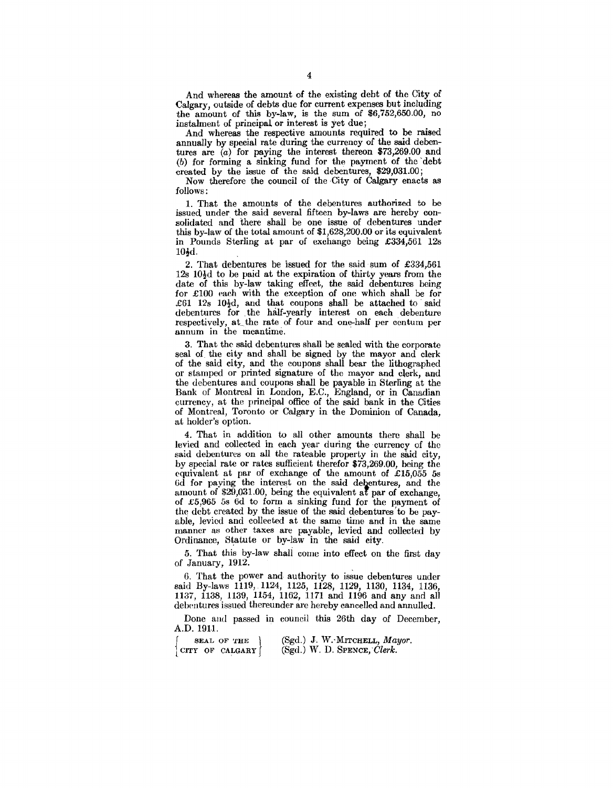And whereas the amount of the existing debt of the City of Calgary, outside of debts due for current expenses but including the amount of this by-law, is the sum of \$6,752,650.00, no instalment of principal or interest is yet due;

And whereas the respective amounts required to be raised annually by special rate during the currency of the said debentures are (a) for paying the interest thereon \$73,269.00 and (b) for forming a sinking fund for the payment of the 'debt created by the issue of the said debentures, \$29,031.00;

Now therefore the council of the City of Calgary enacts as follows:

1. That the amounts of the debentures authorized to be issued under the said several fifteen by-laws are hereby consolidated and there shall be one issue of debentures under this by-law of the total amount of \$1,628,200.00 or its equivalent in Pounds Sterling at par of exchange being £334,561 12s  $10<sub>4d</sub>$ .

2. That debentures be issued for the said sum of £334,561  $12s$   $10\frac{1}{2}d$  to be paid at the expiration of thirty years from the date of this by-law taking effect, the said debentures being for  $£100$  each with the exception of one which shall be for £61 12s 10 $\frac{1}{2}d$ , and that coupons shall be attached to said debentures for . the half-yearly interest on each debenture respectively, at\_the rate of four and one-half per centum per annum in the meantime.

3. That the said debentures shall be sealed with the corporate seal of the city and shall be signed by the mayor and clerk of the said city, and the coupons shall bear the lithographed or stamped or printed signature of the mayor and clerk, and the debentures and coupons shall be payable in Sterling at the Bank of Montreal in London, E.C., England, or in Canadian currency, at the principal office of the said bank in the Cities of Montreal, Toronto or Calgary in the Dominion of Canada, at holder's option.

4. That in addition to all other amounts there shall be levied and collected in each year during the currency of the said debentures on all the rateable property in the said city, by special rate or rates sufficient therefor \$73,269.00, being the equivalent at par of exchange of the amount of £15,055 *5s*  6d for paying the interest on the said debentures, and the amount of \$29,031.00, being the equivalent at par of exchange, of £5,965 5s 6d to form a sinking fund for the payment of the debt created by the issue of the said debentures' to be payable, levied and collected at the same time and in the same manner as other taxes are payable, levied and collected by Ordinance, Statute or by-law in the said city.

5. That this by-law shali come into effect on the first day of January, 1912.

6. That the power and authority to issue debentures under said By-laws 1119, 1124, 1125, 1128, 1129, 1130, 1134, 1136, 1137, 1138, 1139, 1154, 1162, 1171 and 1196 and any and all debentures issued thereunder are hereby cancelled and annulled.

Done and passed in council this 26th day of December, A.D. 1911.

SEAL OF THE CITY OF CALGARY | (Sgd.) J. W.·MITCHELL, *Mayor.*   $(Sgd.)$  W. D. SPENCE, *Clerk.*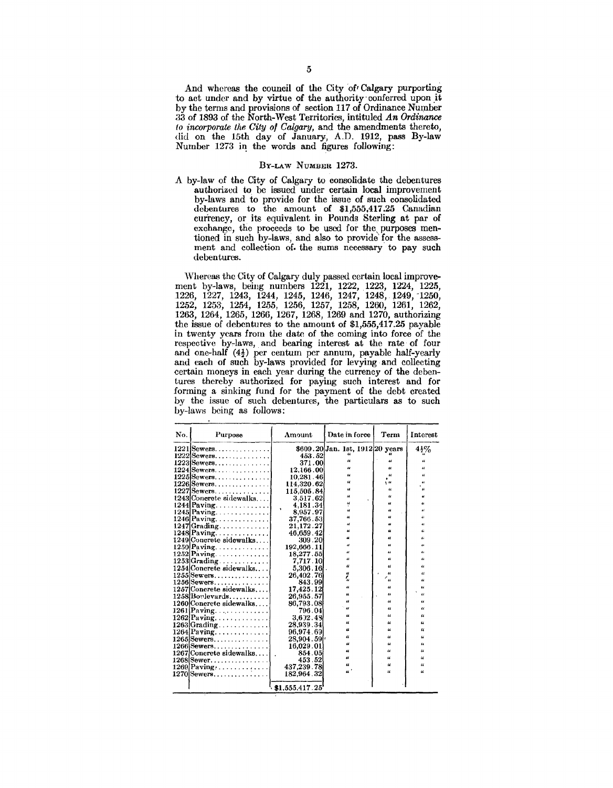And whereas the council of the City of Calgary purporting to act under and by virtue of the authority conferred upon it by the terms and provisions of section 117 of Ordinance Number 33 of 1893 of the North-West Territories, intituled *An Ordinance to incorporate the City of Calgary,* and the amendments thereto, did on the 15th day of January:, A.D. 1912, pass By-law Number 1273 in the words and figures following:

#### BY-LAW NuMBER 1273.

A by-law of the City of Calgary to consolidate the debentures authorized to be issued under certain local improvement by-laws and to provide for the issue of such consolidated debentures to the amount of \$1,555,417.25 Canadian currency, or its equivalent in Pounds Sterling at par of exchange, the proceeds to be used for the, purposes mentioned in such by-laws, and also to provide' for the assessment and collection of the sums necessary to pay such debentures.

Whereas the City of Calgary duly passed certain local improvement by-laws, being numbers 1221, 1222, 1223, 1224, 1225, 1226, 1227, 1243, 1244, 1245, 1246, 1247, 1248, 1249, ~1250, 1252, 1253, 1254, 1255, 1256, 1257, 1258, 1260, 1261, 1262, 1263, 1264, 1265, 1266, 1267, 1268, 1269 and 1270, authorizing the issue of debentures to the amount of \$1,555,417.25 payable in twenty years from the date of the coming into force of the respective by-laws, and bearing interest at the rate of four and one-half  $(4<sub>2</sub>)$  per centum per annum, payable half-yearly and each of such by-laws provided for levying and collecting certain moneys in each year during the currency of the debentures thereby authorized for paying such interest and for forming a sinking fund for the payment of the debt created by the issue of such debentures, the particulars as to such by-laws being as follows:

| No. | Purpose                              | Amount         | Date in force                    | Term                    | Interest                   |
|-----|--------------------------------------|----------------|----------------------------------|-------------------------|----------------------------|
|     | $1221$ Sewers                        |                | \$609.20 Jan. 1st, 1912 20 years |                         | $4\frac{1}{2}$ %           |
|     | $1222$ Sewers                        | 453.52         |                                  |                         |                            |
|     | $1223$ Sewers                        | 371.00         | $\overline{\mathbf{a}}$          | 4                       | 46                         |
|     | $1224$ Sewers                        | 12.166.00      | u                                | ĸ                       | u                          |
|     | $1225$ Sewers                        | 10,281.46      | $\alpha$                         | $\epsilon$              | u                          |
|     | $1226$ Sewers                        | 114,320.62     | $\alpha$                         | 14                      | 46                         |
|     | $1227$ Sewers                        | 115,505.84     | $\boldsymbol{u}$                 | $\epsilon$              | $\overline{\mathbf{u}}$    |
|     | 1243 Concrete sidewalks              | 3,517.62       | $\mu$                            | u                       | ú                          |
|     | $1244$  Paving                       | 4,181.34       | u                                | 46                      | 66                         |
|     | $1245$ Paving                        | 8,957.97       | Ġ.                               | u                       | $\alpha$                   |
|     | $1246$  Paving                       | 37,766.53      | $\overline{u}$                   | u                       | $\epsilon$                 |
|     | $1247$ Grading                       | 21,172.27      | u                                | u                       | 66                         |
|     | $1248$ Paving                        | 46,659.42      | u                                | 66                      | $\boldsymbol{\mu}$         |
|     | 1249 Concrete sidewalks              | 309.20         | $\alpha$                         | u                       | 41                         |
|     | $1250$ Paving                        | 192,666.11     | $\mu$                            | u                       | 44                         |
|     | $1252$ Paving $\ldots \ldots \ldots$ | 18,277.55      | $\epsilon$                       | 44                      | $\epsilon$                 |
|     | 1253 Grading                         | 7,717.10       | $\overline{\mathbf{a}}$          | u                       | $\epsilon$                 |
|     | 1254 Concrete sidewalks              | 5.306.161      | $\boldsymbol{\mu}$               | $\boldsymbol{u}$        | $\mu$                      |
|     | $1255$ Sewers                        | 26,402.76      | 66                               | u                       | $\mu$                      |
|     | $1256$ Sewers                        | 843.99         | t,                               | $\epsilon_{\mu}$        | $\epsilon$                 |
|     | 1257 Concrete sidewalks              | 17,425.12      | $\overline{\mathbf{a}}$          | u                       | 66                         |
|     | $1258$ Boylevards                    | 26,955.57      | ££                               | $\overline{\mathbf{u}}$ | $\mu$                      |
|     | 1260 Concrete sidewalks              | 86,793.08      | 46                               | u                       | 66                         |
|     | $1261$ [Paving                       | 796.04         | $\epsilon$                       | $\epsilon$              | u                          |
|     | $1262$ Paving                        | 3.632.48       | $\epsilon$                       | $\mathfrak{a}$          | $\overline{\mathbf{a}}$    |
|     | $1263$ Grading                       | 28.939.34      | 14                               | 46                      | $\epsilon$                 |
|     | $1264$  Paving                       | 96,974.69      | 4                                | 44                      | u                          |
|     | $1265$ Sewers                        | 28,904.59      | u                                | 46                      | $\epsilon$                 |
|     | $1266$ Sewers                        | 16,029.01      | $\epsilon$                       | 66                      | $\alpha$                   |
|     | 1267 Concrete sidewalks              | 854.05         | u                                | $\alpha$                | $\mu$                      |
|     | $1268$  Sewer                        | 453 52         | $\epsilon$                       | $\mu$                   | $\boldsymbol{\mathcal{U}}$ |
|     | 1269 Paving                          | 437,239.78     | $\overline{\mathbf{u}}$          | $\epsilon$              | α                          |
|     | $1270$  Sewers                       | 182.964.32     | $\boldsymbol{\mathfrak{a}}$      | $\overline{\mathbf{u}}$ | u                          |
|     |                                      |                |                                  |                         |                            |
|     |                                      | \$1,555.417.25 |                                  |                         |                            |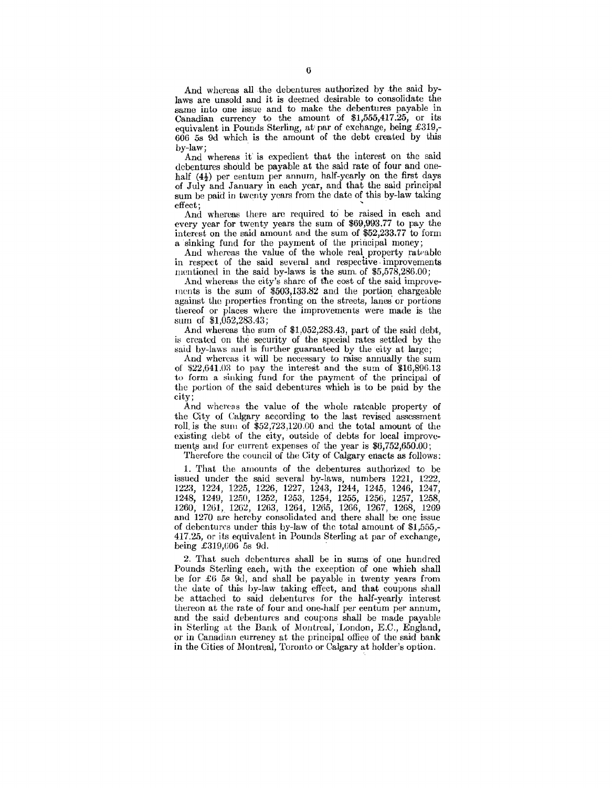And whereas all the debentures authorized by the said bylaws are unsold and it is deemed desirable to consolidate the same into one issue and to make the debentures payable in Canadian currency to the amount of \$1,555,417.25, or its equivalent in Pounds Sterling, at' par of exchange, being £319,- 606 5s 9d which is the amount of the debt created by this by-law;

And whereas it' is expedient that the interest on the said debentures should be payable at the said rate of four and onehalf  $(4\frac{1}{2})$  per centum per annum, half-yearly on the first days of July and January in each year, and that the said principal sum be paid in twenty years from the date of this by-law taking

effect;<br>And whereas there are required to be raised in each and every year for twenty years the sum of \$69,993.77 to pay the interest on the said amount and the sum of \$52,233.77 to form a sinking fund for the payment of the principal money;

And whereas the value of the whole real. property rateable in respect of the said several and respective · improvements mentioned in the said by-laws is the sum. of \$5,578,286.00;

And whereas the city's share of the cost of the said improvements is the sum of \$503,133.82 and the portion chargeable against the properties fronting on the streets, lanes or portions thereof or places where the improvements were made is the surn of \$1,052,283.43;

And whereas the sum of \$1,052,283.43, part of the said debt, is created on the security of the special rates settled by the said by-laws and is further guaranteed by the city at large;

And whereas it will be necessary to raise annually the sum of \$22,641.03 to pay the interest and the sum of \$16,896.13 to form a sinking fund for the payment of the principal of the portion of the said debentures which is to be paid by the city;

And whereas the value of the whole rateable property of the City of Calgary according to the last revised assessment roll. is the sum of \$52,723,120.00 and the total amount of the existing debt of the city, outside of debts for local improvcments and for current expenses of the year is  $$6,752,650.00$ ;

Therefore the council of the City of Calgary enacts as follows:

1. That the amounts of the debentures authorized to be issued under the said several by-laws, numbers 1221, 1222, 1223, 1224, 1225, 1226, 1227, 1243, 1244, 1245, 1246, 1247, 1248, 124H, 1250, 1252, 1253, 1254, 1255, 1256, 1257, 1258, 1260, 12til, 1262, 1263, 1264, 12()5, 1266, 1267, 1268, 1269 and 1270 arc hereby consolidated and there shall be one issue of debentures under this by-law of the total amount of \$1,555,- 417.25, or its equivalent in Pounds Sterling at par of exchange, being  $£319,606$  5s 9d.

2. That such debentures shall be in sums of one hundred Pounds Sterling each, with the exception of one which shall be for £6 5s 9d, and shall be payable in twenty years from the date of this by-law taking effect, and that coupons shall be attached to said debentures for the half-yearly interest thereon at the rate of four and one-half per eentum per annum, and the said debentures and coupons shall be made payable in Sterling at the Bank of Montreal, London, E.C., England, or in Canadian currency at the principal office of the said bank in the Cities of Montreal, Toronto or Calgary at holder's option.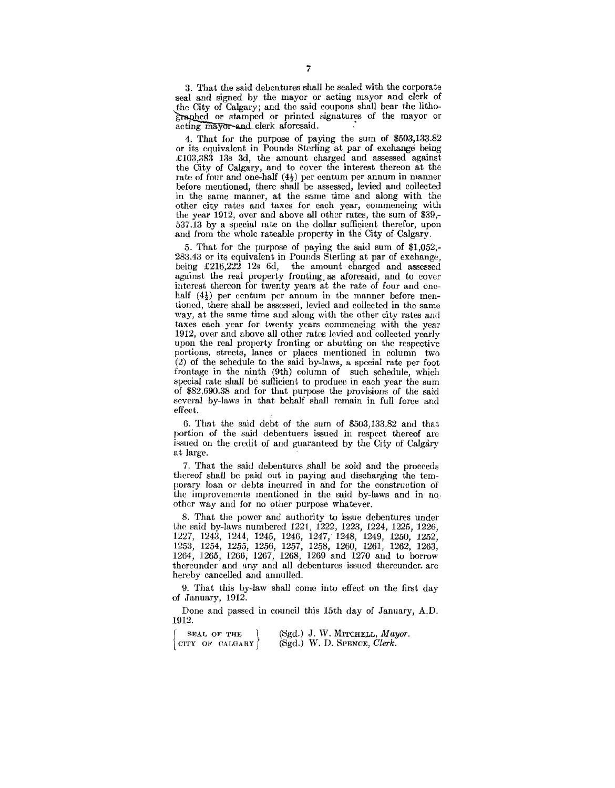3. That the said debentures shall be sealed with the corporate seal and signed by the mayor or acting mayor and clerk of . the City of Calgary; and the said coupons shall bear the litho- ~hed or stamped or printed signatures of the mayor or acting mayor and clerk aforesaid.

4. That for the purpose of paying the sum of \$503,133.82 or its equivalent in Pounds Sterling at par of exchange being £103,383 13s 3d, the amount charged and assessed against the City of Calgary, and to cover the interest thereon at the rate of four and one-half  $(4\frac{1}{2})$  per centum per annum in manner before mentioned, there shall be assessed, levied and collected in the same manner, at the same time and along with the other city rates and taxes for each year, commencing with the year 1912, over and above all other rates, the sum of \$39,- 537.13 by a special rate on the dollar sufficient therefor, upon and from the whole rateable property in the City of Calgary.

5. That for the purpose of paying the said sum of \$1,052,- 283.43 or its equivalent in Pounds Sterling at par of exchange, being  $£216,222$  12s 6d, the amount charged and assessed against the real property fronting as aforesaid, and to cover interest thereon for twenty years at the rate of four and onehalf  $(4\frac{1}{2})$  per centum per annum in the manner before mentioned, there shall be assessed, levied and collected in the same way, at the same time and along with the other city rates and taxes each year for twenty years commencing with the year 1912, over and above all other rates levied and collected yearly upon the real property fronting or abutting on the respective portions, streets, lanes or places mentioned in column two (2) of the schedule to the said by-laws, a special rate per foot frontage in the ninth (9th) column of such schedule, which special rate shall be sufficient to produee in each year the sum of \$82,690.38 and for that purpose the provisions of the said several by-laws in that behalf shall remain in full force and effect.

6. That the said debt of the sum of \$503,133.82 and that portion of the said debentuers issued in respect thereof are issued on the credit of and guaranteed by the City of Calgary at large.

7. That the said debentures shall be sold and the proceeds thereof shall be paid out in paying and discharging the temporary loan or debts incurred in and for the construction of the improvements mentioned in the said by-laws and in no, other way and for no other purpose whatever.

8. That the power and authority to issue debentures under the said by-laws numbered 1221, 1222, 1223, 1224, 1225, 1226, 1227, 1243, 1244, 1245, 1246, 1247,' 1248, 1249, 1250, 1252, 1253, 1254, 1255, 1256, 1257, 1258, 1260, 1261, 1262, 1263, 1264, 1265, 1266, 1267, 1268, 1269 and 1270 and to borrow thereunder and any and all debentures issued thereunder. are hereby cancelled and annulled.

9. That this by-law shall come into effect on the first day of January, 1912.

Done and passed in council this 15th day of January, A.D. 1912.

 $\int$  CITY OF CALGARY  $\int$ SEAL OF THE (Sgd.) J. W. MITCHELL, *Mayor*. (Sgd.) W. D. SPENCE, *Clerk.*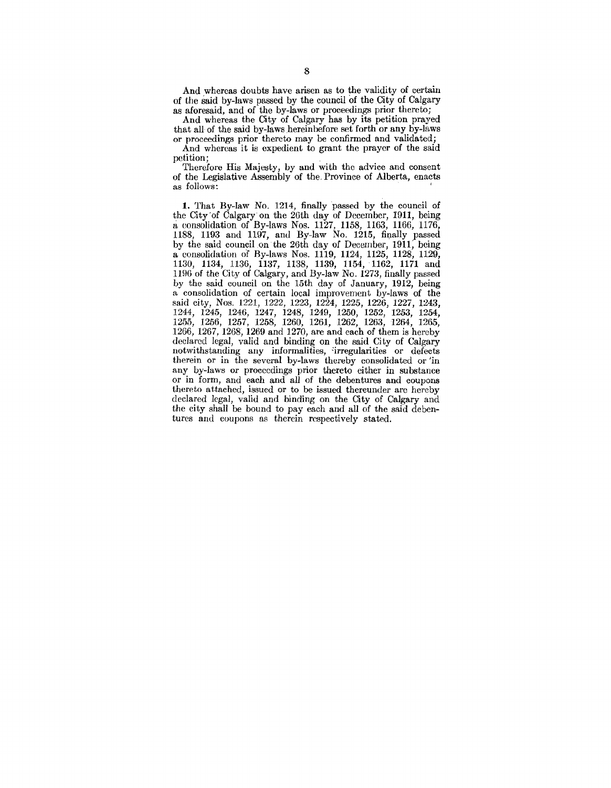And whereas doubts have arisen as to the validity of certain of the said by-laws passed by the council of the City of Calgary as aforesaid, and of the by-laws or proceedings prior thereto;

And whereas the City of Calgary has by its petition prayed that all of the said by-laws hereinbefore set forth or any by-laws

or proceedings prior thereto may be confirmed and validated; And whereas it is expedient to grant the prayer of the said petition;

Therefore His Majesty, by and with the advice and consent of the Legislative Assembly of the. Province of Alberta, enacts as follows: '

1. That By-law No. 1214, finally passed by the council of the City'of Calgary on the 26th day of December, I911, being a consolidation of By-laws Nos. 1127, 1158, 1163, 1166, 1176, 1188, 1193 and 1197, and By-law No. 1215, finally passed by the said council on the 26th day of December, 1911, being a consolidation of By-laws Nos. 1119, 1124, 1125, 1128, 1129, 1130, 1134, 1136, 1137, 1138, 1139, 1154, ·1162, 1171 and 1196 of the City of Calgary, and By-law No. 1273, finally passed by the said council on the 15th day of January, 1912, being a consolidation of certain local improvement by-laws of the said city, Nos. 1221, 1222, 1223, 1224, 1225, 1226, 1227, 1243, 1244, 1245, 1246, 1247, 1248, 1249, 1250, 1252, 1253, 1254, 1255, 1256, 1257, 1258, 1260, 1261, 1262, 1263, 1264, 1265, 1266, 1267, 1268, 1269 and 1270, are and each of them is hereby declared legal, valid and binding on the said City of Calgary notwithstanding any informalities, 'irregularities or defects therein or in the several by-laws thereby consolidated or 'in any by-Jaws or proceedings prior thereto either in substance or in form, and each and all of the debentures and coupons thereto attached, issued or to be issued thereunder arc hereby declared legal, valid and binding on the City of Calgary and the city shall be bound to pay each and all of the said debentures and coupons as therein respectively stated.